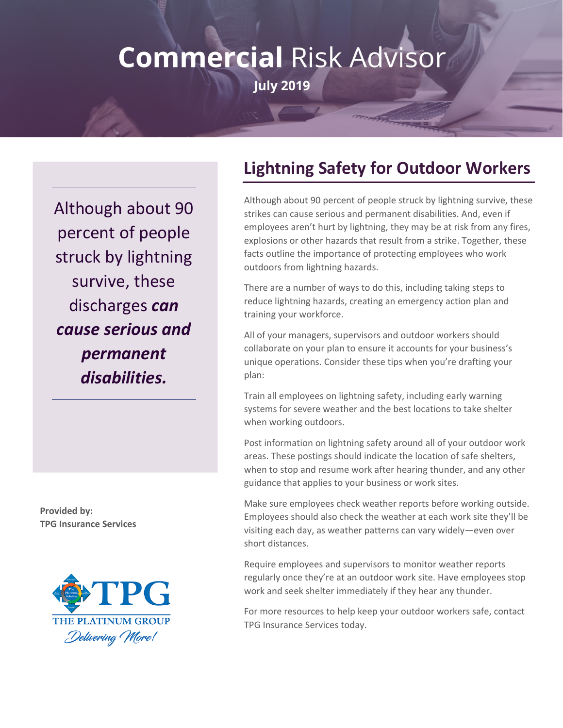## **Commercial Risk Advisor July 2019**

Although about 90 percent of people struck by lightning survive, these discharges *can cause serious and permanent disabilities.*

**Provided by: TPG Insurance Services**



## **Lightning Safety for Outdoor Workers**

Although about 90 percent of people struck by lightning survive, these strikes can cause serious and permanent disabilities. And, even if employees aren't hurt by lightning, they may be at risk from any fires, explosions or other hazards that result from a strike. Together, these facts outline the importance of protecting employees who work outdoors from lightning hazards.

There are a number of ways to do this, including taking steps to reduce lightning hazards, creating an emergency action plan and training your workforce.

All of your managers, supervisors and outdoor workers should collaborate on your plan to ensure it accounts for your business's unique operations. Consider these tips when you're drafting your plan:

Train all employees on lightning safety, including early warning systems for severe weather and the best locations to take shelter when working outdoors.

Post information on lightning safety around all of your outdoor work areas. These postings should indicate the location of safe shelters, when to stop and resume work after hearing thunder, and any other guidance that applies to your business or work sites.

Make sure employees check weather reports before working outside. Employees should also check the weather at each work site they'll be visiting each day, as weather patterns can vary widely—even over short distances.

Require employees and supervisors to monitor weather reports regularly once they're at an outdoor work site. Have employees stop work and seek shelter immediately if they hear any thunder.

For more resources to help keep your outdoor workers safe, contact TPG Insurance Services today.